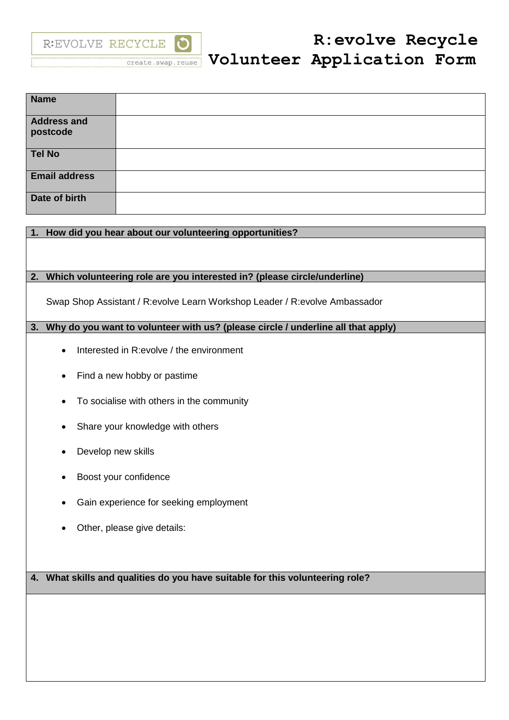

| <b>Name</b>                    |  |
|--------------------------------|--|
| <b>Address and</b><br>postcode |  |
| <b>Tel No</b>                  |  |
| <b>Email address</b>           |  |
| Date of birth                  |  |

# **1. How did you hear about our volunteering opportunities?**

# **2. Which volunteering role are you interested in? (please circle/underline)**

Swap Shop Assistant / R:evolve Learn Workshop Leader / R:evolve Ambassador

# **3. Why do you want to volunteer with us? (please circle / underline all that apply)**

- Interested in R:evolve / the environment
- Find a new hobby or pastime
- To socialise with others in the community
- Share your knowledge with others
- Develop new skills
- Boost your confidence
- Gain experience for seeking employment
- Other, please give details:

**4. What skills and qualities do you have suitable for this volunteering role?**